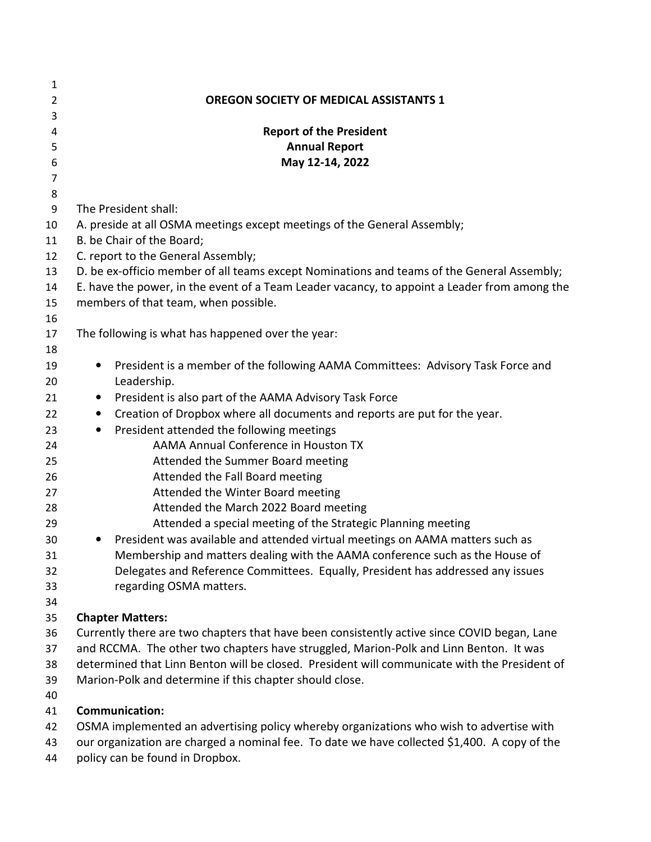| 1              |                                                                                              |
|----------------|----------------------------------------------------------------------------------------------|
| $\overline{2}$ | <b>OREGON SOCIETY OF MEDICAL ASSISTANTS 1</b>                                                |
| 3              |                                                                                              |
| 4              | <b>Report of the President</b>                                                               |
| 5              | <b>Annual Report</b>                                                                         |
| 6              | May 12-14, 2022                                                                              |
| 7              |                                                                                              |
| 8              |                                                                                              |
| 9              | The President shall:                                                                         |
| 10             | A. preside at all OSMA meetings except meetings of the General Assembly;                     |
| 11             | B. be Chair of the Board;                                                                    |
| 12             | C. report to the General Assembly;                                                           |
| 13             | D. be ex-officio member of all teams except Nominations and teams of the General Assembly;   |
| 14             | E. have the power, in the event of a Team Leader vacancy, to appoint a Leader from among the |
| 15             | members of that team, when possible.                                                         |
| 16             |                                                                                              |
| 17             | The following is what has happened over the year:                                            |
| 18             |                                                                                              |
| 19             | President is a member of the following AAMA Committees: Advisory Task Force and<br>$\bullet$ |
| 20             | Leadership.                                                                                  |
| 21             | President is also part of the AAMA Advisory Task Force<br>$\bullet$                          |
| 22             | Creation of Dropbox where all documents and reports are put for the year.<br>$\bullet$       |
| 23             | President attended the following meetings<br>$\bullet$                                       |
| 24             | AAMA Annual Conference in Houston TX                                                         |
| 25             | Attended the Summer Board meeting                                                            |
| 26             | Attended the Fall Board meeting                                                              |
| 27             | Attended the Winter Board meeting                                                            |
| 28             | Attended the March 2022 Board meeting                                                        |
| 29             | Attended a special meeting of the Strategic Planning meeting                                 |
| 30             | President was available and attended virtual meetings on AAMA matters such as                |
| 31             | Membership and matters dealing with the AAMA conference such as the House of                 |
| 32             | Delegates and Reference Committees. Equally, President has addressed any issues              |
| 33             | regarding OSMA matters.                                                                      |
| 34             |                                                                                              |
| 35             | <b>Chapter Matters:</b>                                                                      |
| 36             | Currently there are two chapters that have been consistently active since COVID began, Lane  |
| 37             | and RCCMA. The other two chapters have struggled, Marion-Polk and Linn Benton. It was        |
| 38             | determined that Linn Benton will be closed. President will communicate with the President of |

- Marion-Polk and determine if this chapter should close.
- 

## **Communication:**

- OSMA implemented an advertising policy whereby organizations who wish to advertise with
- our organization are charged a nominal fee. To date we have collected \$1,400. A copy of the
- policy can be found in Dropbox.